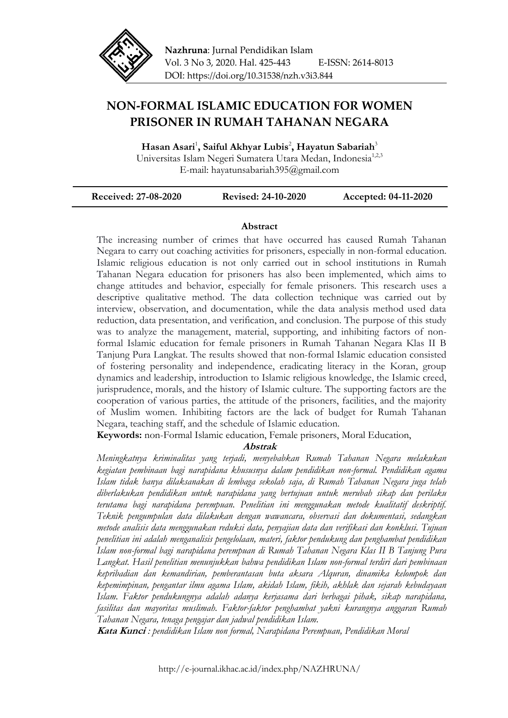

# **NON-FORMAL ISLAMIC EDUCATION FOR WOMEN PRISONER IN RUMAH TAHANAN NEGARA**

**Hasan Asari**<sup>1</sup> **, Saiful Akhyar Lubis**<sup>2</sup> **, Hayatun Sabariah**<sup>3</sup> Universitas Islam Negeri Sumatera Utara Medan, Indonesia<sup>1,2,3</sup> E-mail: hayatunsabariah395@gmail.com

| <b>Received: 27-08-2020</b> | <b>Revised: 24-10-2020</b> | Accepted: 04-11-2020 |
|-----------------------------|----------------------------|----------------------|
|-----------------------------|----------------------------|----------------------|

## **Abstract**

The increasing number of crimes that have occurred has caused Rumah Tahanan Negara to carry out coaching activities for prisoners, especially in non-formal education. Islamic religious education is not only carried out in school institutions in Rumah Tahanan Negara education for prisoners has also been implemented, which aims to change attitudes and behavior, especially for female prisoners. This research uses a descriptive qualitative method. The data collection technique was carried out by interview, observation, and documentation, while the data analysis method used data reduction, data presentation, and verification, and conclusion. The purpose of this study was to analyze the management, material, supporting, and inhibiting factors of nonformal Islamic education for female prisoners in Rumah Tahanan Negara Klas II B Tanjung Pura Langkat. The results showed that non-formal Islamic education consisted of fostering personality and independence, eradicating literacy in the Koran, group dynamics and leadership, introduction to Islamic religious knowledge, the Islamic creed, jurisprudence, morals, and the history of Islamic culture. The supporting factors are the cooperation of various parties, the attitude of the prisoners, facilities, and the majority of Muslim women. Inhibiting factors are the lack of budget for Rumah Tahanan Negara, teaching staff, and the schedule of Islamic education.

**Keywords:** non-Formal Islamic education, Female prisoners, Moral Education,

## **Abstrak**

*Meningkatnya kriminalitas yang terjadi, menyebabkan Rumah Tahanan Negara melakukan kegiatan pembinaan bagi narapidana khususnya dalam pendidikan non-formal. Pendidikan agama Islam tidak hanya dilaksanakan di lembaga sekolah saja, di Rumah Tahanan Negara juga telah diberlakukan pendidikan untuk narapidana yang bertujuan untuk merubah sikap dan perilaku terutama bagi narapidana perempuan. Penelitian ini menggunakan metode kualitatif deskriptif. Teknik pengumpulan data dilakukan dengan wawancara, observasi dan dokumentasi, sedangkan metode analisis data menggunakan reduksi data, penyajian data dan verifikasi dan konklusi. Tujuan penelitian ini adalah menganalisis pengelolaan, materi, faktor pendukung dan penghambat pendidikan Islam non-formal bagi narapidana perempuan di Rumah Tahanan Negara Klas II B Tanjung Pura Langkat. Hasil penelitian menunjukkan bahwa pendidikan Islam non-formal terdiri dari pembinaan kepribadian dan kemandirian, pemberantasan buta aksara Alquran, dinamika kelompok dan kepemimpinan, pengantar ilmu agama Islam, akidah Islam, fikih, akhlak dan sejarah kebudayaan Islam. Faktor pendukungnya adalah adanya kerjasama dari berbagai pihak, sikap narapidana, fasilitas dan mayoritas muslimah. Faktor-faktor penghambat yakni kurangnya anggaran Rumah Tahanan Negara, tenaga pengajar dan jadwal pendidikan Islam.* 

**Kata Kunci** *: pendidikan Islam non formal, Narapidana Perempuan, Pendidikan Moral*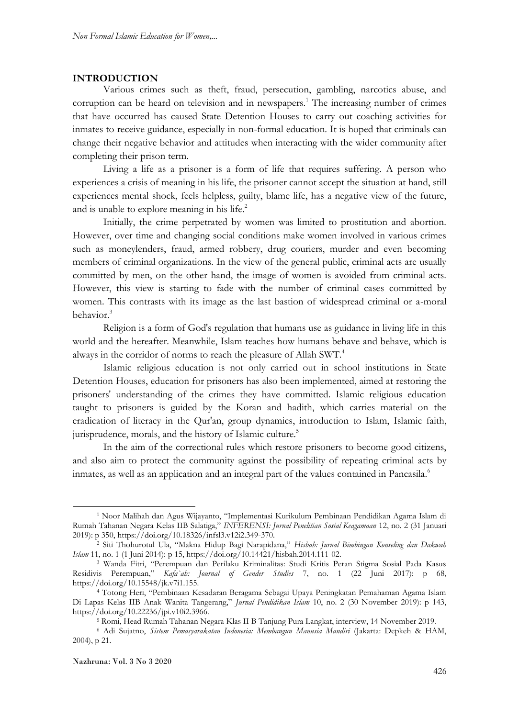#### **INTRODUCTION**

Various crimes such as theft, fraud, persecution, gambling, narcotics abuse, and corruption can be heard on television and in newspapers.<sup>1</sup> The increasing number of crimes that have occurred has caused State Detention Houses to carry out coaching activities for inmates to receive guidance, especially in non-formal education. It is hoped that criminals can change their negative behavior and attitudes when interacting with the wider community after completing their prison term.

Living a life as a prisoner is a form of life that requires suffering. A person who experiences a crisis of meaning in his life, the prisoner cannot accept the situation at hand, still experiences mental shock, feels helpless, guilty, blame life, has a negative view of the future, and is unable to explore meaning in his life.<sup>2</sup>

Initially, the crime perpetrated by women was limited to prostitution and abortion. However, over time and changing social conditions make women involved in various crimes such as moneylenders, fraud, armed robbery, drug couriers, murder and even becoming members of criminal organizations. In the view of the general public, criminal acts are usually committed by men, on the other hand, the image of women is avoided from criminal acts. However, this view is starting to fade with the number of criminal cases committed by women. This contrasts with its image as the last bastion of widespread criminal or a-moral behavior.<sup>3</sup>

Religion is a form of God's regulation that humans use as guidance in living life in this world and the hereafter. Meanwhile, Islam teaches how humans behave and behave, which is always in the corridor of norms to reach the pleasure of Allah SWT.<sup>4</sup>

Islamic religious education is not only carried out in school institutions in State Detention Houses, education for prisoners has also been implemented, aimed at restoring the prisoners' understanding of the crimes they have committed. Islamic religious education taught to prisoners is guided by the Koran and hadith, which carries material on the eradication of literacy in the Qur'an, group dynamics, introduction to Islam, Islamic faith, jurisprudence, morals, and the history of Islamic culture.<sup>5</sup>

In the aim of the correctional rules which restore prisoners to become good citizens, and also aim to protect the community against the possibility of repeating criminal acts by inmates, as well as an application and an integral part of the values contained in Pancasila.<sup>6</sup>

1

<sup>1</sup> Noor Malihah dan Agus Wijayanto, "Implementasi Kurikulum Pembinaan Pendidikan Agama Islam di Rumah Tahanan Negara Kelas IIB Salatiga," *INFERENSI: Jurnal Penelitian Sosial Keagamaan* 12, no. 2 (31 Januari 2019): p 350, https://doi.org/10.18326/infsl3.v12i2.349-370.

<sup>2</sup> Siti Thohurotul Ula, "Makna Hidup Bagi Narapidana," *Hisbah: Jurnal Bimbingan Konseling dan Dakwah Islam* 11, no. 1 (1 Juni 2014): p 15, https://doi.org/10.14421/hisbah.2014.111-02.

<sup>3</sup> Wanda Fitri, "Perempuan dan Perilaku Kriminalitas: Studi Kritis Peran Stigma Sosial Pada Kasus Residivis Perempuan," *Kafa`ah: Journal of Gender Studies* 7, no. 1 (22 Juni 2017): p 68, https://doi.org/10.15548/jk.v7i1.155.

<sup>4</sup> Totong Heri, "Pembinaan Kesadaran Beragama Sebagai Upaya Peningkatan Pemahaman Agama Islam Di Lapas Kelas IIB Anak Wanita Tangerang," *Jurnal Pendidikan Islam* 10, no. 2 (30 November 2019): p 143, https://doi.org/10.22236/jpi.v10i2.3966.

<sup>5</sup> Romi, Head Rumah Tahanan Negara Klas II B Tanjung Pura Langkat, interview, 14 November 2019.

<sup>6</sup> Adi Sujatno, *Sistem Pemasyarakatan Indonesia: Membangun Manusia Mandiri* (Jakarta: Depkeh & HAM, 2004), p 21.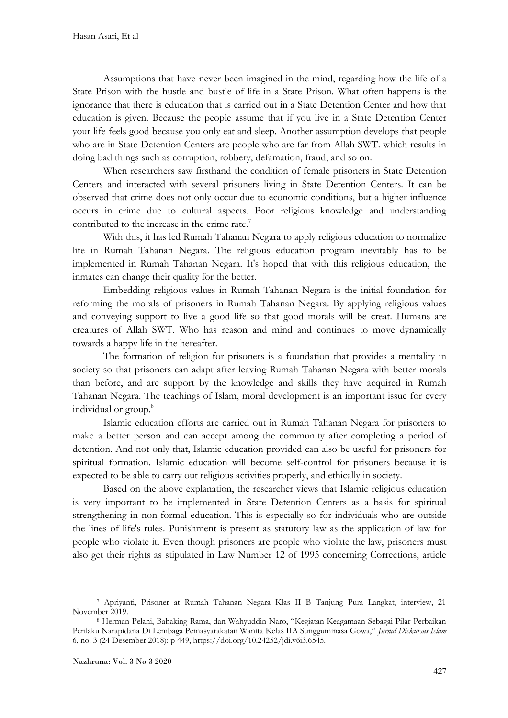Assumptions that have never been imagined in the mind, regarding how the life of a State Prison with the hustle and bustle of life in a State Prison. What often happens is the ignorance that there is education that is carried out in a State Detention Center and how that education is given. Because the people assume that if you live in a State Detention Center your life feels good because you only eat and sleep. Another assumption develops that people who are in State Detention Centers are people who are far from Allah SWT. which results in doing bad things such as corruption, robbery, defamation, fraud, and so on.

When researchers saw firsthand the condition of female prisoners in State Detention Centers and interacted with several prisoners living in State Detention Centers. It can be observed that crime does not only occur due to economic conditions, but a higher influence occurs in crime due to cultural aspects. Poor religious knowledge and understanding contributed to the increase in the crime rate.<sup>7</sup>

With this, it has led Rumah Tahanan Negara to apply religious education to normalize life in Rumah Tahanan Negara. The religious education program inevitably has to be implemented in Rumah Tahanan Negara. It's hoped that with this religious education, the inmates can change their quality for the better.

Embedding religious values in Rumah Tahanan Negara is the initial foundation for reforming the morals of prisoners in Rumah Tahanan Negara. By applying religious values and conveying support to live a good life so that good morals will be creat. Humans are creatures of Allah SWT. Who has reason and mind and continues to move dynamically towards a happy life in the hereafter.

The formation of religion for prisoners is a foundation that provides a mentality in society so that prisoners can adapt after leaving Rumah Tahanan Negara with better morals than before, and are support by the knowledge and skills they have acquired in Rumah Tahanan Negara. The teachings of Islam, moral development is an important issue for every individual or group.<sup>8</sup>

Islamic education efforts are carried out in Rumah Tahanan Negara for prisoners to make a better person and can accept among the community after completing a period of detention. And not only that, Islamic education provided can also be useful for prisoners for spiritual formation. Islamic education will become self-control for prisoners because it is expected to be able to carry out religious activities properly, and ethically in society.

Based on the above explanation, the researcher views that Islamic religious education is very important to be implemented in State Detention Centers as a basis for spiritual strengthening in non-formal education. This is especially so for individuals who are outside the lines of life's rules. Punishment is present as statutory law as the application of law for people who violate it. Even though prisoners are people who violate the law, prisoners must also get their rights as stipulated in Law Number 12 of 1995 concerning Corrections, article

<sup>1</sup> <sup>7</sup> Apriyanti, Prisoner at Rumah Tahanan Negara Klas II B Tanjung Pura Langkat, interview, 21 November 2019.

<sup>8</sup> Herman Pelani, Bahaking Rama, dan Wahyuddin Naro, "Kegiatan Keagamaan Sebagai Pilar Perbaikan Perilaku Narapidana Di Lembaga Pemasyarakatan Wanita Kelas IIA Sungguminasa Gowa," *Jurnal Diskursus Islam* 6, no. 3 (24 Desember 2018): p 449, https://doi.org/10.24252/jdi.v6i3.6545.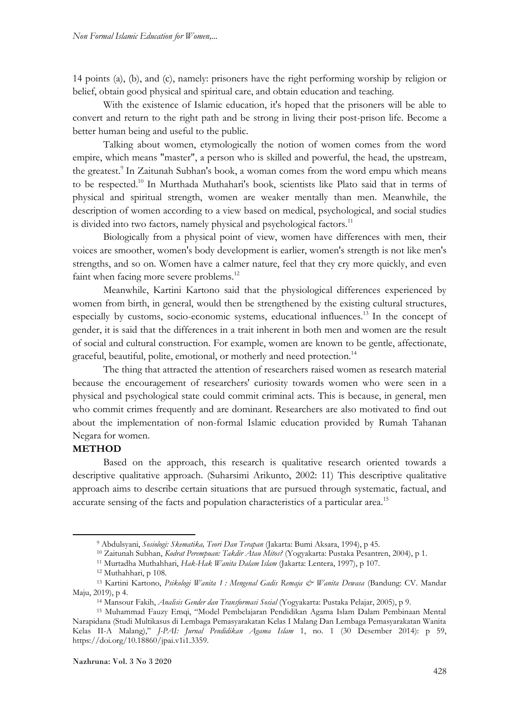14 points (a), (b), and (c), namely: prisoners have the right performing worship by religion or belief, obtain good physical and spiritual care, and obtain education and teaching.

With the existence of Islamic education, it's hoped that the prisoners will be able to convert and return to the right path and be strong in living their post-prison life. Become a better human being and useful to the public.

Talking about women, etymologically the notion of women comes from the word empire, which means "master", a person who is skilled and powerful, the head, the upstream, the greatest.<sup>9</sup> In Zaitunah Subhan's book, a woman comes from the word empu which means to be respected.<sup>10</sup> In Murthada Muthahari's book, scientists like Plato said that in terms of physical and spiritual strength, women are weaker mentally than men. Meanwhile, the description of women according to a view based on medical, psychological, and social studies is divided into two factors, namely physical and psychological factors.<sup>11</sup>

Biologically from a physical point of view, women have differences with men, their voices are smoother, women's body development is earlier, women's strength is not like men's strengths, and so on. Women have a calmer nature, feel that they cry more quickly, and even faint when facing more severe problems.<sup>12</sup>

Meanwhile, Kartini Kartono said that the physiological differences experienced by women from birth, in general, would then be strengthened by the existing cultural structures, especially by customs, socio-economic systems, educational influences.<sup>13</sup> In the concept of gender, it is said that the differences in a trait inherent in both men and women are the result of social and cultural construction. For example, women are known to be gentle, affectionate, graceful, beautiful, polite, emotional, or motherly and need protection.<sup>14</sup>

The thing that attracted the attention of researchers raised women as research material because the encouragement of researchers' curiosity towards women who were seen in a physical and psychological state could commit criminal acts. This is because, in general, men who commit crimes frequently and are dominant. Researchers are also motivated to find out about the implementation of non-formal Islamic education provided by Rumah Tahanan Negara for women.

## **METHOD**

 $\overline{\phantom{a}}$ 

Based on the approach, this research is qualitative research oriented towards a descriptive qualitative approach. (Suharsimi Arikunto, 2002: 11) This descriptive qualitative approach aims to describe certain situations that are pursued through systematic, factual, and accurate sensing of the facts and population characteristics of a particular area.<sup>15</sup>

<sup>9</sup> Abdulsyani, *Sosiologi: Skematika, Teori Dan Terapan* (Jakarta: Bumi Aksara, 1994), p 45.

<sup>10</sup> Zaitunah Subhan, *Kodrat Perempuan: Takdir Atau Mitos?* (Yogyakarta: Pustaka Pesantren, 2004), p 1.

<sup>11</sup> Murtadha Muthahhari, *Hak-Hak Wanita Dalam Islam* (Jakarta: Lentera, 1997), p 107.

<sup>12</sup> Muthahhari, p 108.

<sup>13</sup> Kartini Kartono, *Psikologi Wanita 1 : Mengenal Gadis Remaja & Wanita Dewasa* (Bandung: CV. Mandar Maju, 2019), p 4.

<sup>14</sup> Mansour Fakih, *Analisis Gender dan Transformasi Sosial* (Yogyakarta: Pustaka Pelajar, 2005), p 9.

<sup>15</sup> Muhammad Fauzy Emqi, "Model Pembelajaran Pendidikan Agama Islam Dalam Pembinaan Mental Narapidana (Studi Multikasus di Lembaga Pemasyarakatan Kelas I Malang Dan Lembaga Pemasyarakatan Wanita Kelas II-A Malang)," *J-PAI: Jurnal Pendidikan Agama Islam* 1, no. 1 (30 Desember 2014): p 59, https://doi.org/10.18860/jpai.v1i1.3359.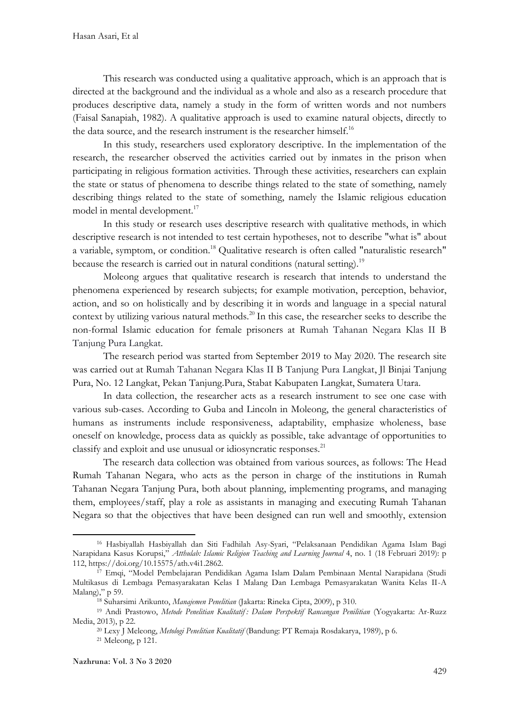This research was conducted using a qualitative approach, which is an approach that is directed at the background and the individual as a whole and also as a research procedure that produces descriptive data, namely a study in the form of written words and not numbers (Faisal Sanapiah, 1982). A qualitative approach is used to examine natural objects, directly to the data source, and the research instrument is the researcher himself.<sup>16</sup>

In this study, researchers used exploratory descriptive. In the implementation of the research, the researcher observed the activities carried out by inmates in the prison when participating in religious formation activities. Through these activities, researchers can explain the state or status of phenomena to describe things related to the state of something, namely describing things related to the state of something, namely the Islamic religious education model in mental development.<sup>17</sup>

In this study or research uses descriptive research with qualitative methods, in which descriptive research is not intended to test certain hypotheses, not to describe "what is" about a variable, symptom, or condition.<sup>18</sup> Qualitative research is often called "naturalistic research" because the research is carried out in natural conditions (natural setting).<sup>19</sup>

Moleong argues that qualitative research is research that intends to understand the phenomena experienced by research subjects; for example motivation, perception, behavior, action, and so on holistically and by describing it in words and language in a special natural context by utilizing various natural methods.<sup>20</sup> In this case, the researcher seeks to describe the non-formal Islamic education for female prisoners at Rumah Tahanan Negara Klas II B Tanjung Pura Langkat.

The research period was started from September 2019 to May 2020. The research site was carried out at Rumah Tahanan Negara Klas II B Tanjung Pura Langkat, Jl Binjai Tanjung Pura, No. 12 Langkat, Pekan Tanjung.Pura, Stabat Kabupaten Langkat, Sumatera Utara.

In data collection, the researcher acts as a research instrument to see one case with various sub-cases. According to Guba and Lincoln in Moleong, the general characteristics of humans as instruments include responsiveness, adaptability, emphasize wholeness, base oneself on knowledge, process data as quickly as possible, take advantage of opportunities to classify and exploit and use unusual or idiosyncratic responses.<sup>21</sup>

The research data collection was obtained from various sources, as follows: The Head Rumah Tahanan Negara, who acts as the person in charge of the institutions in Rumah Tahanan Negara Tanjung Pura, both about planning, implementing programs, and managing them, employees/staff, play a role as assistants in managing and executing Rumah Tahanan Negara so that the objectives that have been designed can run well and smoothly, extension

 $\overline{\phantom{a}}$ 

Nazhruna: Vol. 3 No 3 2020

<sup>16</sup> Hasbiyallah Hasbiyallah dan Siti Fadhilah Asy-Syari, "Pelaksanaan Pendidikan Agama Islam Bagi Narapidana Kasus Korupsi," *Atthulab: Islamic Religion Teaching and Learning Journal* 4, no. 1 (18 Februari 2019): p 112, https://doi.org/10.15575/ath.v4i1.2862.

<sup>&</sup>lt;sup>17</sup> Emqi, "Model Pembelajaran Pendidikan Agama Islam Dalam Pembinaan Mental Narapidana (Studi Multikasus di Lembaga Pemasyarakatan Kelas I Malang Dan Lembaga Pemasyarakatan Wanita Kelas II-A Malang)," p 59.

<sup>18</sup> Suharsimi Arikunto, *Manajemen Penelitian* (Jakarta: Rineka Cipta, 2009), p 310.

<sup>19</sup> Andi Prastowo, *Metode Penelitian Kualitatif : Dalam Perspektif Rancangan Penilitian* (Yogyakarta: Ar-Ruzz Media, 2013), p 22.

<sup>20</sup> Lexy J Meleong, *Metologi Penelitian Kualitatif* (Bandung: PT Remaja Rosdakarya, 1989), p 6.

<sup>21</sup> Meleong, p 121.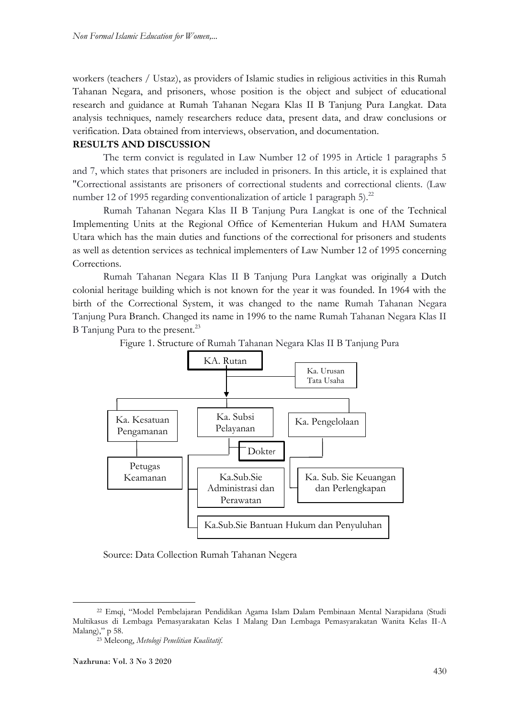workers (teachers / Ustaz), as providers of Islamic studies in religious activities in this Rumah Tahanan Negara, and prisoners, whose position is the object and subject of educational research and guidance at Rumah Tahanan Negara Klas II B Tanjung Pura Langkat. Data analysis techniques, namely researchers reduce data, present data, and draw conclusions or verification. Data obtained from interviews, observation, and documentation.

#### **RESULTS AND DISCUSSION**

The term convict is regulated in Law Number 12 of 1995 in Article 1 paragraphs 5 and 7, which states that prisoners are included in prisoners. In this article, it is explained that "Correctional assistants are prisoners of correctional students and correctional clients. (Law number 12 of 1995 regarding conventionalization of article 1 paragraph 5).<sup>22</sup>

Rumah Tahanan Negara Klas II B Tanjung Pura Langkat is one of the Technical Implementing Units at the Regional Office of Kementerian Hukum and HAM Sumatera Utara which has the main duties and functions of the correctional for prisoners and students as well as detention services as technical implementers of Law Number 12 of 1995 concerning Corrections.

Rumah Tahanan Negara Klas II B Tanjung Pura Langkat was originally a Dutch colonial heritage building which is not known for the year it was founded. In 1964 with the birth of the Correctional System, it was changed to the name Rumah Tahanan Negara Tanjung Pura Branch. Changed its name in 1996 to the name Rumah Tahanan Negara Klas II B Tanjung Pura to the present.<sup>23</sup>

KA. Rutan Ka. Urusan Tata Usaha Ka. Subsi | Ka. Pengelolaan Pelayanan Taha $\overline{\phantom{a}}$ Ka. Kesatuan Pengamanan  $\overline{\phantom{a}}$ Dokter Petugas Keamanan | | Ka.Sub.Sie Administrasi dan Perawatan Ka. Sub. Sie Keuangan dan Perlengkapan Ka.Sub.Sie Bantuan Hukum dan Penyuluhan

Figure 1. Structure of Rumah Tahanan Negara Klas II B Tanjung Pura

Source: Data Collection Rumah Tahanan Negera

 $\overline{\phantom{a}}$ 

<sup>22</sup> Emqi, "Model Pembelajaran Pendidikan Agama Islam Dalam Pembinaan Mental Narapidana (Studi Multikasus di Lembaga Pemasyarakatan Kelas I Malang Dan Lembaga Pemasyarakatan Wanita Kelas II-A Malang)," p 58.

<sup>23</sup> Meleong, *Metologi Penelitian Kualitatif*.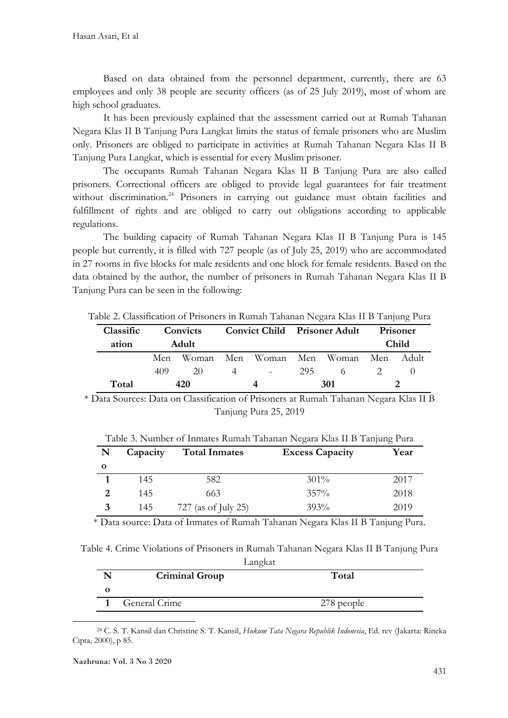Based on data obtained from the personnel department, currently, there are 63 employees and only 38 people are security officers (as of 25 July 2019), most of whom are high school graduates.

It has been previously explained that the assessment carried out at Rumah Tahanan Negara Klas II B Tanjung Pura Langkat limits the status of female prisoners who are Muslim only. Prisoners are obliged to participate in activities at Rumah Tahanan Negara Klas II B Tanjung Pura Langkat, which is essential for every Muslim prisoner.

The occupants Rumah Tahanan Negara Klas II B Tanjung Pura are also called prisoners. Correctional officers are obliged to provide legal guarantees for fair treatment without discrimination.<sup>24</sup> Prisoners in carrying out guidance must obtain facilities and fulfillment of rights and are obliged to carry out obligations according to applicable regulations.

The building capacity of Rumah Tahanan Negara Klas II B Tanjung Pura is 145 people but currently, it is filled with 727 people (as of July 25, 2019) who are accommodated in 27 rooms in five blocks for male residents and one block for female residents. Based on the data obtained by the author, the number of prisoners in Rumah Tahanan Negara Klas II B Tanjung Pura can be seen in the following:

| Classific<br>ation | Convicts<br><b>Adult</b> |     |                |            | <b>Convict Child Prisoner Adult</b> |                                     | Prisoner<br><b>Child</b> |  |
|--------------------|--------------------------|-----|----------------|------------|-------------------------------------|-------------------------------------|--------------------------|--|
|                    | Men                      |     |                |            |                                     | Woman Men Woman Men Woman Men Adult |                          |  |
|                    | 409                      | 20  | $\overline{4}$ | $\sim 100$ | 295                                 |                                     |                          |  |
| Total              |                          | 420 |                |            |                                     | 301                                 |                          |  |

Table 2. Classification of Prisoners in Rumah Tahanan Negara Klas II B Tanjung Pura

\* Data Sources: Data on Classification of Prisoners at Rumah Tahanan Negara Klas II B Tanjung Pura 25, 2019

| N            | Capacity | <b>Total Inmates</b> | <b>Excess Capacity</b> | Year |
|--------------|----------|----------------------|------------------------|------|
| $\mathbf{o}$ |          |                      |                        |      |
|              | 145      | 582                  | $301\%$                | 2017 |
|              | 145      | 663                  | $357\%$                | 2018 |
| 3            | 145      | 727 (as of July 25)  | 393%                   | 2019 |

Table 3. Number of Inmates Rumah Tahanan Negara Klas II B Tanjung Pura

\* Data source: Data of Inmates of Rumah Tahanan Negara Klas II B Tanjung Pura.

Table 4. Crime Violations of Prisoners in Rumah Tahanan Negara Klas II B Tanjung Pura Langkat

| <b>Criminal Group</b> | $\sim$<br>Total |
|-----------------------|-----------------|
|                       |                 |
| General Crime         | 278 people      |

<sup>24</sup> C. S. T. Kansil dan Christine S. T. Kansil, *Hukum Tata Negara Republik Indonesia*, Ed. rev (Jakarta: Rineka Cipta, 2000), p 85.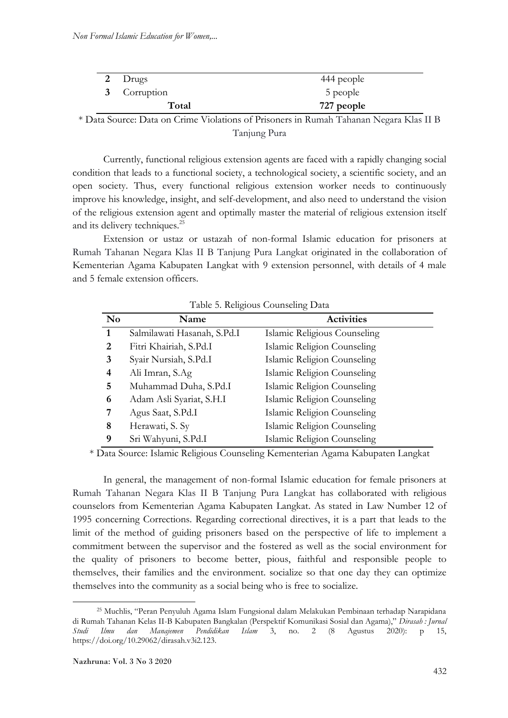| 2 Drugs      | 444 people |
|--------------|------------|
| 3 Corruption | 5 people   |
| Total        | 727 people |

\* Data Source: Data on Crime Violations of Prisoners in Rumah Tahanan Negara Klas II B Tanjung Pura

Currently, functional religious extension agents are faced with a rapidly changing social condition that leads to a functional society, a technological society, a scientific society, and an open society. Thus, every functional religious extension worker needs to continuously improve his knowledge, insight, and self-development, and also need to understand the vision of the religious extension agent and optimally master the material of religious extension itself and its delivery techniques.<sup>25</sup>

Extension or ustaz or ustazah of non-formal Islamic education for prisoners at Rumah Tahanan Negara Klas II B Tanjung Pura Langkat originated in the collaboration of Kementerian Agama Kabupaten Langkat with 9 extension personnel, with details of 4 male and 5 female extension officers.

| Table 9. Religious Counseling Data |                             |                              |  |
|------------------------------------|-----------------------------|------------------------------|--|
| N <sub>0</sub>                     | Name                        | <b>Activities</b>            |  |
| $\mathbf{1}$                       | Salmilawati Hasanah, S.Pd.I | Islamic Religious Counseling |  |
| 2                                  | Fitri Khairiah, S.Pd.I      | Islamic Religion Counseling  |  |
| 3                                  | Syair Nursiah, S.Pd.I       | Islamic Religion Counseling  |  |
| 4                                  | Ali Imran, S.Ag             | Islamic Religion Counseling  |  |
| 5.                                 | Muhammad Duha, S.Pd.I       | Islamic Religion Counseling  |  |
| 6                                  | Adam Asli Syariat, S.H.I    | Islamic Religion Counseling  |  |
| 7                                  | Agus Saat, S.Pd.I           | Islamic Religion Counseling  |  |
| 8                                  | Herawati, S. Sy             | Islamic Religion Counseling  |  |
| 9                                  | Sri Wahyuni, S.Pd.I         | Islamic Religion Counseling  |  |

Table 5. Religious Counseling Data

\* Data Source: Islamic Religious Counseling Kementerian Agama Kabupaten Langkat

In general, the management of non-formal Islamic education for female prisoners at Rumah Tahanan Negara Klas II B Tanjung Pura Langkat has collaborated with religious counselors from Kementerian Agama Kabupaten Langkat. As stated in Law Number 12 of 1995 concerning Corrections. Regarding correctional directives, it is a part that leads to the limit of the method of guiding prisoners based on the perspective of life to implement a commitment between the supervisor and the fostered as well as the social environment for the quality of prisoners to become better, pious, faithful and responsible people to themselves, their families and the environment. socialize so that one day they can optimize themselves into the community as a social being who is free to socialize.

 $\overline{\phantom{a}}$ 

<sup>25</sup> Muchlis, "Peran Penyuluh Agama Islam Fungsional dalam Melakukan Pembinaan terhadap Narapidana di Rumah Tahanan Kelas II-B Kabupaten Bangkalan (Perspektif Komunikasi Sosial dan Agama)," *Dirasah : Jurnal Studi Ilmu dan Manajemen Pendidikan Islam* 3, no. 2 (8 Agustus 2020): p 15, https://doi.org/10.29062/dirasah.v3i2.123.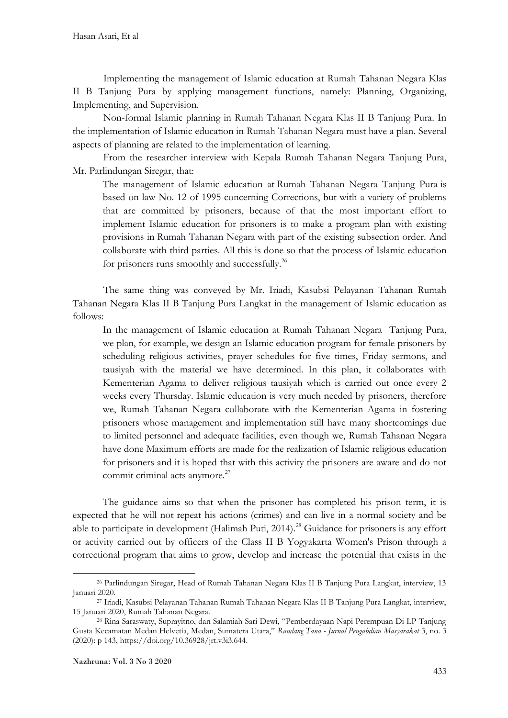Implementing the management of Islamic education at Rumah Tahanan Negara Klas II B Tanjung Pura by applying management functions, namely: Planning, Organizing, Implementing, and Supervision.

Non-formal Islamic planning in Rumah Tahanan Negara Klas II B Tanjung Pura. In the implementation of Islamic education in Rumah Tahanan Negara must have a plan. Several aspects of planning are related to the implementation of learning.

From the researcher interview with Kepala Rumah Tahanan Negara Tanjung Pura, Mr. Parlindungan Siregar, that:

The management of Islamic education at Rumah Tahanan Negara Tanjung Pura is based on law No. 12 of 1995 concerning Corrections, but with a variety of problems that are committed by prisoners, because of that the most important effort to implement Islamic education for prisoners is to make a program plan with existing provisions in Rumah Tahanan Negara with part of the existing subsection order. And collaborate with third parties. All this is done so that the process of Islamic education for prisoners runs smoothly and successfully.<sup>26</sup>

The same thing was conveyed by Mr. Iriadi, Kasubsi Pelayanan Tahanan Rumah Tahanan Negara Klas II B Tanjung Pura Langkat in the management of Islamic education as follows:

In the management of Islamic education at Rumah Tahanan Negara Tanjung Pura, we plan, for example, we design an Islamic education program for female prisoners by scheduling religious activities, prayer schedules for five times, Friday sermons, and tausiyah with the material we have determined. In this plan, it collaborates with Kementerian Agama to deliver religious tausiyah which is carried out once every 2 weeks every Thursday. Islamic education is very much needed by prisoners, therefore we, Rumah Tahanan Negara collaborate with the Kementerian Agama in fostering prisoners whose management and implementation still have many shortcomings due to limited personnel and adequate facilities, even though we, Rumah Tahanan Negara have done Maximum efforts are made for the realization of Islamic religious education for prisoners and it is hoped that with this activity the prisoners are aware and do not commit criminal acts anymore.<sup>27</sup>

The guidance aims so that when the prisoner has completed his prison term, it is expected that he will not repeat his actions (crimes) and can live in a normal society and be able to participate in development (Halimah Puti,  $2014$ )<sup>28</sup> Guidance for prisoners is any effort or activity carried out by officers of the Class II B Yogyakarta Women's Prison through a correctional program that aims to grow, develop and increase the potential that exists in the

 $\overline{\phantom{a}}$ <sup>26</sup> Parlindungan Siregar, Head of Rumah Tahanan Negara Klas II B Tanjung Pura Langkat, interview, 13 Januari 2020.

<sup>27</sup> Iriadi, Kasubsi Pelayanan Tahanan Rumah Tahanan Negara Klas II B Tanjung Pura Langkat, interview, 15 Januari 2020, Rumah Tahanan Negara.

<sup>28</sup> Rina Saraswaty, Suprayitno, dan Salamiah Sari Dewi, "Pemberdayaan Napi Perempuan Di LP Tanjung Gusta Kecamatan Medan Helvetia, Medan, Sumatera Utara," *Randang Tana - Jurnal Pengabdian Masyarakat* 3, no. 3 (2020): p 143, https://doi.org/10.36928/jrt.v3i3.644.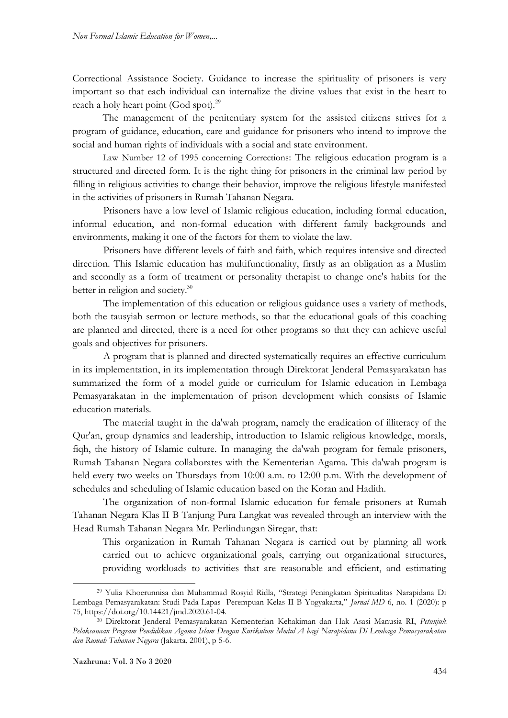Correctional Assistance Society. Guidance to increase the spirituality of prisoners is very important so that each individual can internalize the divine values that exist in the heart to reach a holy heart point (God spot). $^{29}$ 

The management of the penitentiary system for the assisted citizens strives for a program of guidance, education, care and guidance for prisoners who intend to improve the social and human rights of individuals with a social and state environment.

Law Number 12 of 1995 concerning Corrections: The religious education program is a structured and directed form. It is the right thing for prisoners in the criminal law period by filling in religious activities to change their behavior, improve the religious lifestyle manifested in the activities of prisoners in Rumah Tahanan Negara.

Prisoners have a low level of Islamic religious education, including formal education, informal education, and non-formal education with different family backgrounds and environments, making it one of the factors for them to violate the law.

Prisoners have different levels of faith and faith, which requires intensive and directed direction. This Islamic education has multifunctionality, firstly as an obligation as a Muslim and secondly as a form of treatment or personality therapist to change one's habits for the better in religion and society.<sup>30</sup>

The implementation of this education or religious guidance uses a variety of methods, both the tausyiah sermon or lecture methods, so that the educational goals of this coaching are planned and directed, there is a need for other programs so that they can achieve useful goals and objectives for prisoners.

A program that is planned and directed systematically requires an effective curriculum in its implementation, in its implementation through Direktorat Jenderal Pemasyarakatan has summarized the form of a model guide or curriculum for Islamic education in Lembaga Pemasyarakatan in the implementation of prison development which consists of Islamic education materials.

The material taught in the da'wah program, namely the eradication of illiteracy of the Qur'an, group dynamics and leadership, introduction to Islamic religious knowledge, morals, fiqh, the history of Islamic culture. In managing the da'wah program for female prisoners, Rumah Tahanan Negara collaborates with the Kementerian Agama. This da'wah program is held every two weeks on Thursdays from 10:00 a.m. to 12:00 p.m. With the development of schedules and scheduling of Islamic education based on the Koran and Hadith.

The organization of non-formal Islamic education for female prisoners at Rumah Tahanan Negara Klas II B Tanjung Pura Langkat was revealed through an interview with the Head Rumah Tahanan Negara Mr. Perlindungan Siregar, that:

This organization in Rumah Tahanan Negara is carried out by planning all work carried out to achieve organizational goals, carrying out organizational structures, providing workloads to activities that are reasonable and efficient, and estimating

<sup>29</sup> Yulia Khoerunnisa dan Muhammad Rosyid Ridla, "Strategi Peningkatan Spiritualitas Narapidana Di Lembaga Pemasyarakatan: Studi Pada Lapas Perempuan Kelas II B Yogyakarta," *Jurnal MD* 6, no. 1 (2020): p 75, https://doi.org/10.14421/jmd.2020.61-04.

<sup>30</sup> Direktorat Jenderal Pemasyarakatan Kementerian Kehakiman dan Hak Asasi Manusia RI, *Petunjuk Pelaksanaan Program Pendidikan Agama Islam Dengan Kurikulum Modul A bagi Narapidana Di Lembaga Pemasyarakatan dan Rumah Tahanan Negara* (Jakarta, 2001), p 5-6.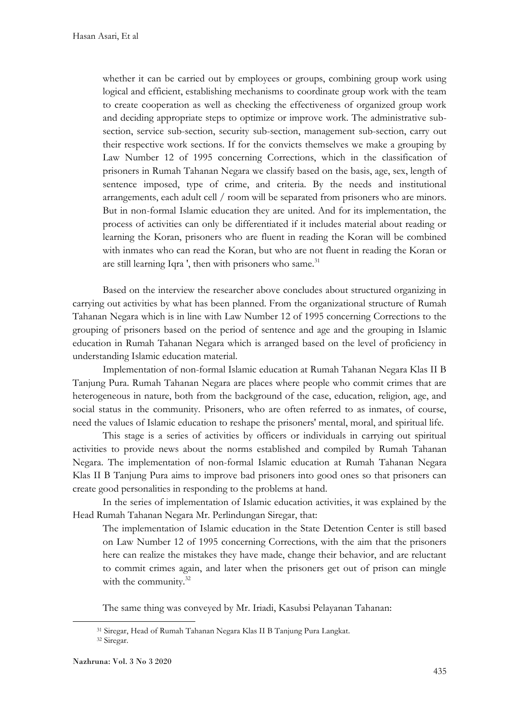whether it can be carried out by employees or groups, combining group work using logical and efficient, establishing mechanisms to coordinate group work with the team to create cooperation as well as checking the effectiveness of organized group work and deciding appropriate steps to optimize or improve work. The administrative subsection, service sub-section, security sub-section, management sub-section, carry out their respective work sections. If for the convicts themselves we make a grouping by Law Number 12 of 1995 concerning Corrections, which in the classification of prisoners in Rumah Tahanan Negara we classify based on the basis, age, sex, length of sentence imposed, type of crime, and criteria. By the needs and institutional arrangements, each adult cell / room will be separated from prisoners who are minors. But in non-formal Islamic education they are united. And for its implementation, the process of activities can only be differentiated if it includes material about reading or learning the Koran, prisoners who are fluent in reading the Koran will be combined with inmates who can read the Koran, but who are not fluent in reading the Koran or are still learning Iqra ', then with prisoners who same.<sup>31</sup>

Based on the interview the researcher above concludes about structured organizing in carrying out activities by what has been planned. From the organizational structure of Rumah Tahanan Negara which is in line with Law Number 12 of 1995 concerning Corrections to the grouping of prisoners based on the period of sentence and age and the grouping in Islamic education in Rumah Tahanan Negara which is arranged based on the level of proficiency in understanding Islamic education material.

Implementation of non-formal Islamic education at Rumah Tahanan Negara Klas II B Tanjung Pura. Rumah Tahanan Negara are places where people who commit crimes that are heterogeneous in nature, both from the background of the case, education, religion, age, and social status in the community. Prisoners, who are often referred to as inmates, of course, need the values of Islamic education to reshape the prisoners' mental, moral, and spiritual life.

This stage is a series of activities by officers or individuals in carrying out spiritual activities to provide news about the norms established and compiled by Rumah Tahanan Negara. The implementation of non-formal Islamic education at Rumah Tahanan Negara Klas II B Tanjung Pura aims to improve bad prisoners into good ones so that prisoners can create good personalities in responding to the problems at hand.

In the series of implementation of Islamic education activities, it was explained by the Head Rumah Tahanan Negara Mr. Perlindungan Siregar, that:

The implementation of Islamic education in the State Detention Center is still based on Law Number 12 of 1995 concerning Corrections, with the aim that the prisoners here can realize the mistakes they have made, change their behavior, and are reluctant to commit crimes again, and later when the prisoners get out of prison can mingle with the community.<sup>32</sup>

The same thing was conveyed by Mr. Iriadi, Kasubsi Pelayanan Tahanan:

<sup>31</sup> Siregar, Head of Rumah Tahanan Negara Klas II B Tanjung Pura Langkat.

<sup>32</sup> Siregar.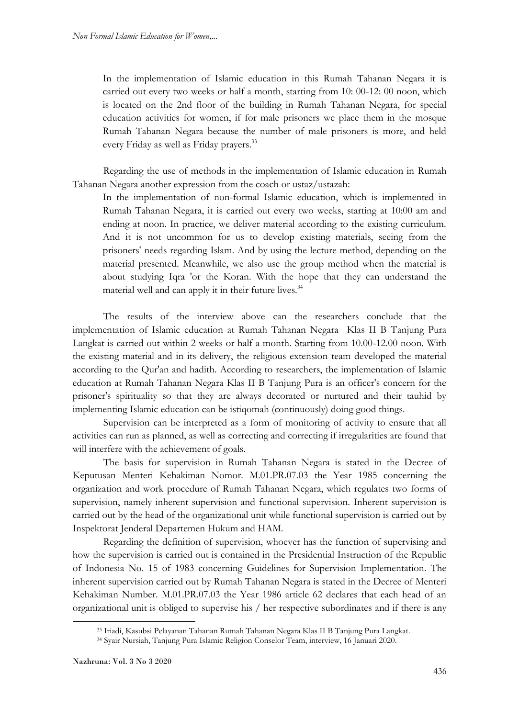In the implementation of Islamic education in this Rumah Tahanan Negara it is carried out every two weeks or half a month, starting from 10: 00-12: 00 noon, which is located on the 2nd floor of the building in Rumah Tahanan Negara, for special education activities for women, if for male prisoners we place them in the mosque Rumah Tahanan Negara because the number of male prisoners is more, and held every Friday as well as Friday prayers.<sup>33</sup>

Regarding the use of methods in the implementation of Islamic education in Rumah Tahanan Negara another expression from the coach or ustaz/ustazah:

In the implementation of non-formal Islamic education, which is implemented in Rumah Tahanan Negara, it is carried out every two weeks, starting at 10:00 am and ending at noon. In practice, we deliver material according to the existing curriculum. And it is not uncommon for us to develop existing materials, seeing from the prisoners' needs regarding Islam. And by using the lecture method, depending on the material presented. Meanwhile, we also use the group method when the material is about studying Iqra 'or the Koran. With the hope that they can understand the material well and can apply it in their future lives.<sup>34</sup>

The results of the interview above can the researchers conclude that the implementation of Islamic education at Rumah Tahanan Negara Klas II B Tanjung Pura Langkat is carried out within 2 weeks or half a month. Starting from 10.00-12.00 noon. With the existing material and in its delivery, the religious extension team developed the material according to the Qur'an and hadith. According to researchers, the implementation of Islamic education at Rumah Tahanan Negara Klas II B Tanjung Pura is an officer's concern for the prisoner's spirituality so that they are always decorated or nurtured and their tauhid by implementing Islamic education can be istiqomah (continuously) doing good things.

Supervision can be interpreted as a form of monitoring of activity to ensure that all activities can run as planned, as well as correcting and correcting if irregularities are found that will interfere with the achievement of goals.

The basis for supervision in Rumah Tahanan Negara is stated in the Decree of Keputusan Menteri Kehakiman Nomor. M.01.PR.07.03 the Year 1985 concerning the organization and work procedure of Rumah Tahanan Negara, which regulates two forms of supervision, namely inherent supervision and functional supervision. Inherent supervision is carried out by the head of the organizational unit while functional supervision is carried out by Inspektorat Jenderal Departemen Hukum and HAM.

Regarding the definition of supervision, whoever has the function of supervising and how the supervision is carried out is contained in the Presidential Instruction of the Republic of Indonesia No. 15 of 1983 concerning Guidelines for Supervision Implementation. The inherent supervision carried out by Rumah Tahanan Negara is stated in the Decree of Menteri Kehakiman Number. M.01.PR.07.03 the Year 1986 article 62 declares that each head of an organizational unit is obliged to supervise his / her respective subordinates and if there is any

<sup>33</sup> Iriadi, Kasubsi Pelayanan Tahanan Rumah Tahanan Negara Klas II B Tanjung Pura Langkat.

<sup>34</sup> Syair Nursiah, Tanjung Pura Islamic Religion Conselor Team, interview, 16 Januari 2020.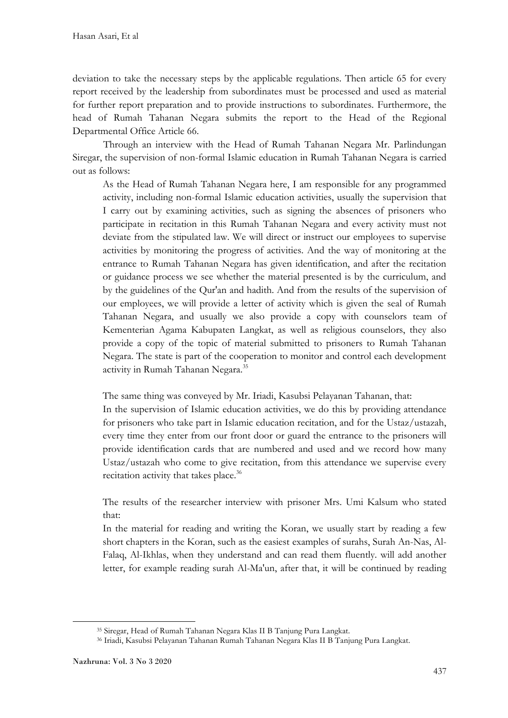deviation to take the necessary steps by the applicable regulations. Then article 65 for every report received by the leadership from subordinates must be processed and used as material for further report preparation and to provide instructions to subordinates. Furthermore, the head of Rumah Tahanan Negara submits the report to the Head of the Regional Departmental Office Article 66.

Through an interview with the Head of Rumah Tahanan Negara Mr. Parlindungan Siregar, the supervision of non-formal Islamic education in Rumah Tahanan Negara is carried out as follows:

As the Head of Rumah Tahanan Negara here, I am responsible for any programmed activity, including non-formal Islamic education activities, usually the supervision that I carry out by examining activities, such as signing the absences of prisoners who participate in recitation in this Rumah Tahanan Negara and every activity must not deviate from the stipulated law. We will direct or instruct our employees to supervise activities by monitoring the progress of activities. And the way of monitoring at the entrance to Rumah Tahanan Negara has given identification, and after the recitation or guidance process we see whether the material presented is by the curriculum, and by the guidelines of the Qur'an and hadith. And from the results of the supervision of our employees, we will provide a letter of activity which is given the seal of Rumah Tahanan Negara, and usually we also provide a copy with counselors team of Kementerian Agama Kabupaten Langkat, as well as religious counselors, they also provide a copy of the topic of material submitted to prisoners to Rumah Tahanan Negara. The state is part of the cooperation to monitor and control each development activity in Rumah Tahanan Negara.<sup>35</sup>

The same thing was conveyed by Mr. Iriadi, Kasubsi Pelayanan Tahanan, that:

In the supervision of Islamic education activities, we do this by providing attendance for prisoners who take part in Islamic education recitation, and for the Ustaz/ustazah, every time they enter from our front door or guard the entrance to the prisoners will provide identification cards that are numbered and used and we record how many Ustaz/ustazah who come to give recitation, from this attendance we supervise every recitation activity that takes place.<sup>36</sup>

The results of the researcher interview with prisoner Mrs. Umi Kalsum who stated that:

In the material for reading and writing the Koran, we usually start by reading a few short chapters in the Koran, such as the easiest examples of surahs, Surah An-Nas, Al-Falaq, Al-Ikhlas, when they understand and can read them fluently. will add another letter, for example reading surah Al-Ma'un, after that, it will be continued by reading

<sup>35</sup> Siregar, Head of Rumah Tahanan Negara Klas II B Tanjung Pura Langkat.

<sup>36</sup> Iriadi, Kasubsi Pelayanan Tahanan Rumah Tahanan Negara Klas II B Tanjung Pura Langkat.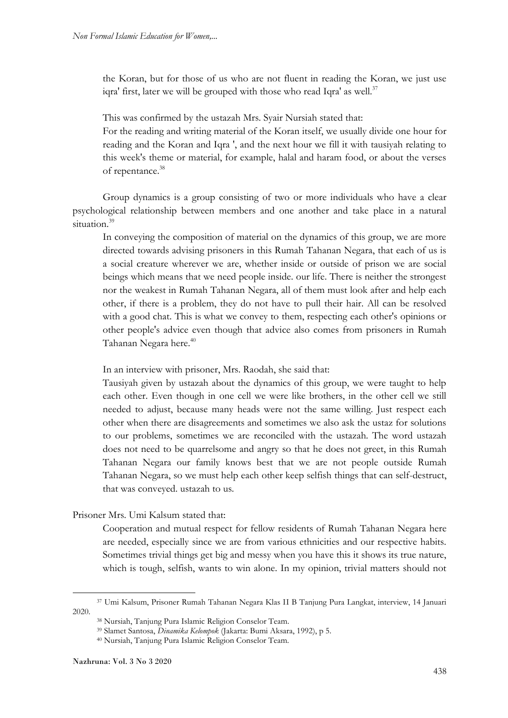the Koran, but for those of us who are not fluent in reading the Koran, we just use iqra' first, later we will be grouped with those who read Iqra' as well.<sup>37</sup>

This was confirmed by the ustazah Mrs. Syair Nursiah stated that:

For the reading and writing material of the Koran itself, we usually divide one hour for reading and the Koran and Iqra ', and the next hour we fill it with tausiyah relating to this week's theme or material, for example, halal and haram food, or about the verses of repentance.<sup>38</sup>

Group dynamics is a group consisting of two or more individuals who have a clear psychological relationship between members and one another and take place in a natural situation.<sup>39</sup>

In conveying the composition of material on the dynamics of this group, we are more directed towards advising prisoners in this Rumah Tahanan Negara, that each of us is a social creature wherever we are, whether inside or outside of prison we are social beings which means that we need people inside. our life. There is neither the strongest nor the weakest in Rumah Tahanan Negara, all of them must look after and help each other, if there is a problem, they do not have to pull their hair. All can be resolved with a good chat. This is what we convey to them, respecting each other's opinions or other people's advice even though that advice also comes from prisoners in Rumah Tahanan Negara here.<sup>40</sup>

In an interview with prisoner, Mrs. Raodah, she said that:

Tausiyah given by ustazah about the dynamics of this group, we were taught to help each other. Even though in one cell we were like brothers, in the other cell we still needed to adjust, because many heads were not the same willing. Just respect each other when there are disagreements and sometimes we also ask the ustaz for solutions to our problems, sometimes we are reconciled with the ustazah. The word ustazah does not need to be quarrelsome and angry so that he does not greet, in this Rumah Tahanan Negara our family knows best that we are not people outside Rumah Tahanan Negara, so we must help each other keep selfish things that can self-destruct, that was conveyed. ustazah to us.

Prisoner Mrs. Umi Kalsum stated that:

Cooperation and mutual respect for fellow residents of Rumah Tahanan Negara here are needed, especially since we are from various ethnicities and our respective habits. Sometimes trivial things get big and messy when you have this it shows its true nature, which is tough, selfish, wants to win alone. In my opinion, trivial matters should not

1

<sup>37</sup> Umi Kalsum, Prisoner Rumah Tahanan Negara Klas II B Tanjung Pura Langkat, interview, 14 Januari 2020.

<sup>38</sup> Nursiah, Tanjung Pura Islamic Religion Conselor Team.

<sup>39</sup> Slamet Santosa, *Dinamika Kelompok* (Jakarta: Bumi Aksara, 1992), p 5.

<sup>40</sup> Nursiah, Tanjung Pura Islamic Religion Conselor Team.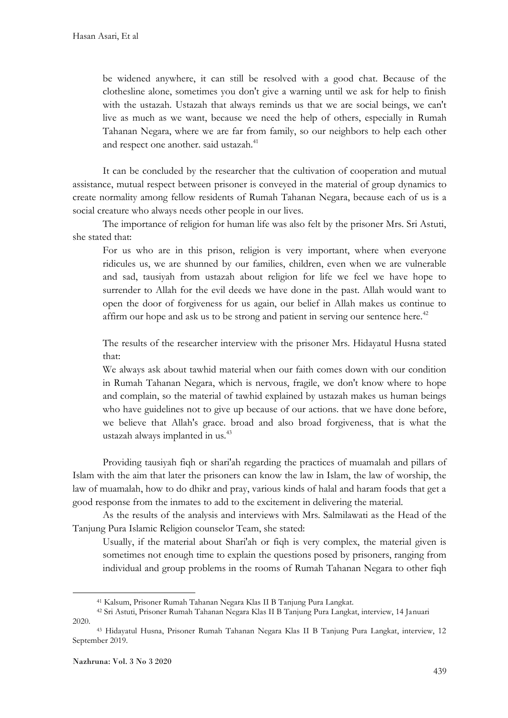be widened anywhere, it can still be resolved with a good chat. Because of the clothesline alone, sometimes you don't give a warning until we ask for help to finish with the ustazah. Ustazah that always reminds us that we are social beings, we can't live as much as we want, because we need the help of others, especially in Rumah Tahanan Negara, where we are far from family, so our neighbors to help each other and respect one another. said ustazah.<sup>41</sup>

It can be concluded by the researcher that the cultivation of cooperation and mutual assistance, mutual respect between prisoner is conveyed in the material of group dynamics to create normality among fellow residents of Rumah Tahanan Negara, because each of us is a social creature who always needs other people in our lives.

The importance of religion for human life was also felt by the prisoner Mrs. Sri Astuti, she stated that:

For us who are in this prison, religion is very important, where when everyone ridicules us, we are shunned by our families, children, even when we are vulnerable and sad, tausiyah from ustazah about religion for life we feel we have hope to surrender to Allah for the evil deeds we have done in the past. Allah would want to open the door of forgiveness for us again, our belief in Allah makes us continue to affirm our hope and ask us to be strong and patient in serving our sentence here.<sup>42</sup>

The results of the researcher interview with the prisoner Mrs. Hidayatul Husna stated that:

We always ask about tawhid material when our faith comes down with our condition in Rumah Tahanan Negara, which is nervous, fragile, we don't know where to hope and complain, so the material of tawhid explained by ustazah makes us human beings who have guidelines not to give up because of our actions. that we have done before, we believe that Allah's grace. broad and also broad forgiveness, that is what the ustazah always implanted in us.<sup>43</sup>

Providing tausiyah fiqh or shari'ah regarding the practices of muamalah and pillars of Islam with the aim that later the prisoners can know the law in Islam, the law of worship, the law of muamalah, how to do dhikr and pray, various kinds of halal and haram foods that get a good response from the inmates to add to the excitement in delivering the material.

As the results of the analysis and interviews with Mrs. Salmilawati as the Head of the Tanjung Pura Islamic Religion counselor Team, she stated:

Usually, if the material about Shari'ah or fiqh is very complex, the material given is sometimes not enough time to explain the questions posed by prisoners, ranging from individual and group problems in the rooms of Rumah Tahanan Negara to other fiqh

1

<sup>41</sup> Kalsum, Prisoner Rumah Tahanan Negara Klas II B Tanjung Pura Langkat.

<sup>42</sup> Sri Astuti, Prisoner Rumah Tahanan Negara Klas II B Tanjung Pura Langkat, interview, 14 Januari 2020.

<sup>43</sup> Hidayatul Husna, Prisoner Rumah Tahanan Negara Klas II B Tanjung Pura Langkat, interview, 12 September 2019.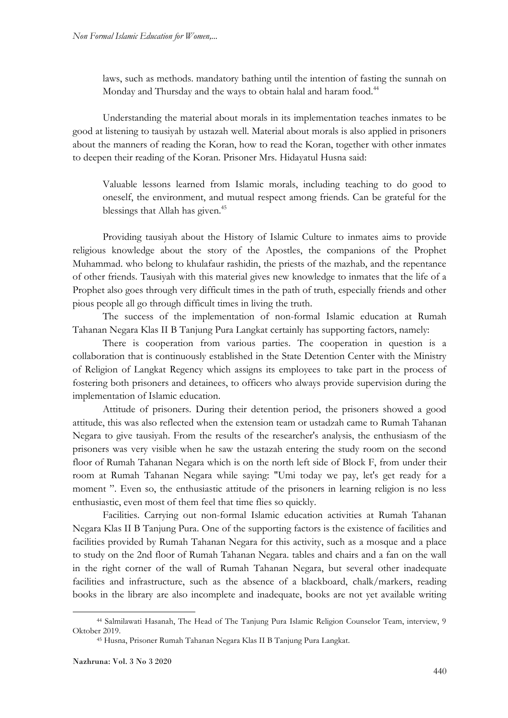laws, such as methods. mandatory bathing until the intention of fasting the sunnah on Monday and Thursday and the ways to obtain halal and haram food.<sup>44</sup>

Understanding the material about morals in its implementation teaches inmates to be good at listening to tausiyah by ustazah well. Material about morals is also applied in prisoners about the manners of reading the Koran, how to read the Koran, together with other inmates to deepen their reading of the Koran. Prisoner Mrs. Hidayatul Husna said:

Valuable lessons learned from Islamic morals, including teaching to do good to oneself, the environment, and mutual respect among friends. Can be grateful for the blessings that Allah has given.<sup>45</sup>

Providing tausiyah about the History of Islamic Culture to inmates aims to provide religious knowledge about the story of the Apostles, the companions of the Prophet Muhammad. who belong to khulafaur rashidin, the priests of the mazhab, and the repentance of other friends. Tausiyah with this material gives new knowledge to inmates that the life of a Prophet also goes through very difficult times in the path of truth, especially friends and other pious people all go through difficult times in living the truth.

The success of the implementation of non-formal Islamic education at Rumah Tahanan Negara Klas II B Tanjung Pura Langkat certainly has supporting factors, namely:

There is cooperation from various parties. The cooperation in question is a collaboration that is continuously established in the State Detention Center with the Ministry of Religion of Langkat Regency which assigns its employees to take part in the process of fostering both prisoners and detainees, to officers who always provide supervision during the implementation of Islamic education.

Attitude of prisoners. During their detention period, the prisoners showed a good attitude, this was also reflected when the extension team or ustadzah came to Rumah Tahanan Negara to give tausiyah. From the results of the researcher's analysis, the enthusiasm of the prisoners was very visible when he saw the ustazah entering the study room on the second floor of Rumah Tahanan Negara which is on the north left side of Block F, from under their room at Rumah Tahanan Negara while saying: "Umi today we pay, let's get ready for a moment ". Even so, the enthusiastic attitude of the prisoners in learning religion is no less enthusiastic, even most of them feel that time flies so quickly.

Facilities. Carrying out non-formal Islamic education activities at Rumah Tahanan Negara Klas II B Tanjung Pura. One of the supporting factors is the existence of facilities and facilities provided by Rumah Tahanan Negara for this activity, such as a mosque and a place to study on the 2nd floor of Rumah Tahanan Negara. tables and chairs and a fan on the wall in the right corner of the wall of Rumah Tahanan Negara, but several other inadequate facilities and infrastructure, such as the absence of a blackboard, chalk/markers, reading books in the library are also incomplete and inadequate, books are not yet available writing

 $\overline{\phantom{a}}$ 

<sup>44</sup> Salmilawati Hasanah, The Head of The Tanjung Pura Islamic Religion Counselor Team, interview, 9 Oktober 2019.

<sup>45</sup> Husna, Prisoner Rumah Tahanan Negara Klas II B Tanjung Pura Langkat.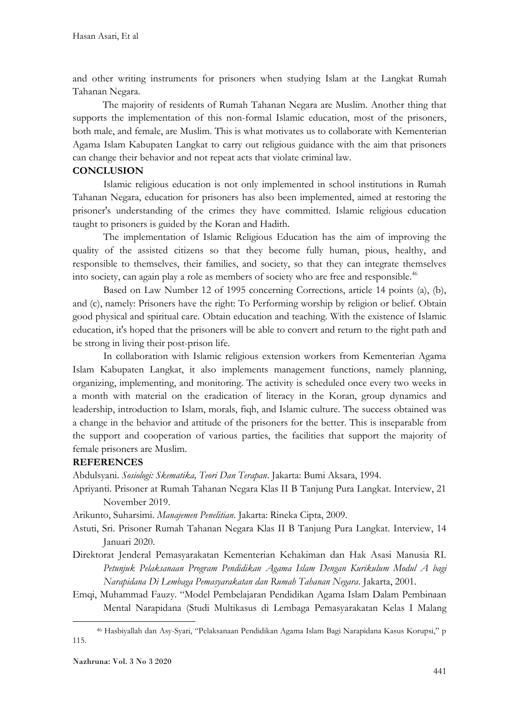and other writing instruments for prisoners when studying Islam at the Langkat Rumah Tahanan Negara.

The majority of residents of Rumah Tahanan Negara are Muslim. Another thing that supports the implementation of this non-formal Islamic education, most of the prisoners, both male, and female, are Muslim. This is what motivates us to collaborate with Kementerian Agama Islam Kabupaten Langkat to carry out religious guidance with the aim that prisoners can change their behavior and not repeat acts that violate criminal law.

#### **CONCLUSION**

Islamic religious education is not only implemented in school institutions in Rumah Tahanan Negara, education for prisoners has also been implemented, aimed at restoring the prisoner's understanding of the crimes they have committed. Islamic religious education taught to prisoners is guided by the Koran and Hadith.

The implementation of Islamic Religious Education has the aim of improving the quality of the assisted citizens so that they become fully human, pious, healthy, and responsible to themselves, their families, and society, so that they can integrate themselves into society, can again play a role as members of society who are free and responsible. $46$ 

Based on Law Number 12 of 1995 concerning Corrections, article 14 points (a), (b), and (c), namely: Prisoners have the right: To Performing worship by religion or belief. Obtain good physical and spiritual care. Obtain education and teaching. With the existence of Islamic education, it's hoped that the prisoners will be able to convert and return to the right path and be strong in living their post-prison life.

In collaboration with Islamic religious extension workers from Kementerian Agama Islam Kabupaten Langkat, it also implements management functions, namely planning, organizing, implementing, and monitoring. The activity is scheduled once every two weeks in a month with material on the eradication of literacy in the Koran, group dynamics and leadership, introduction to Islam, morals, fiqh, and Islamic culture. The success obtained was a change in the behavior and attitude of the prisoners for the better. This is inseparable from the support and cooperation of various parties, the facilities that support the majority of female prisoners are Muslim.

## **REFERENCES**

Abdulsyani. *Sosiologi: Skematika, Teori Dan Terapan*. Jakarta: Bumi Aksara, 1994.

Apriyanti. Prisoner at Rumah Tahanan Negara Klas II B Tanjung Pura Langkat. Interview, 21 November 2019.

Arikunto, Suharsimi. *Manajemen Penelitian*. Jakarta: Rineka Cipta, 2009.

- Astuti, Sri. Prisoner Rumah Tahanan Negara Klas II B Tanjung Pura Langkat. Interview, 14 Januari 2020.
- Direktorat Jenderal Pemasyarakatan Kementerian Kehakiman dan Hak Asasi Manusia RI. *Petunjuk Pelaksanaan Program Pendidikan Agama Islam Dengan Kurikulum Modul A bagi Narapidana Di Lembaga Pemasyarakatan dan Rumah Tahanan Negara*. Jakarta, 2001.
- Emqi, Muhammad Fauzy. "Model Pembelajaran Pendidikan Agama Islam Dalam Pembinaan Mental Narapidana (Studi Multikasus di Lembaga Pemasyarakatan Kelas I Malang

<sup>46</sup> Hasbiyallah dan Asy-Syari, "Pelaksanaan Pendidikan Agama Islam Bagi Narapidana Kasus Korupsi," p 115.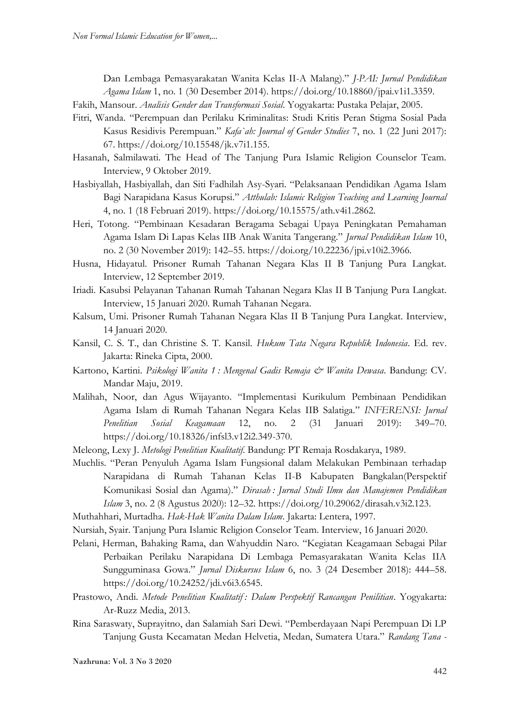Dan Lembaga Pemasyarakatan Wanita Kelas II-A Malang)." *J-PAI: Jurnal Pendidikan Agama Islam* 1, no. 1 (30 Desember 2014). https://doi.org/10.18860/jpai.v1i1.3359.

Fakih, Mansour. *Analisis Gender dan Transformasi Sosial*. Yogyakarta: Pustaka Pelajar, 2005.

- Fitri, Wanda. "Perempuan dan Perilaku Kriminalitas: Studi Kritis Peran Stigma Sosial Pada Kasus Residivis Perempuan." *Kafa`ah: Journal of Gender Studies* 7, no. 1 (22 Juni 2017): 67. https://doi.org/10.15548/jk.v7i1.155.
- Hasanah, Salmilawati. The Head of The Tanjung Pura Islamic Religion Counselor Team. Interview, 9 Oktober 2019.
- Hasbiyallah, Hasbiyallah, dan Siti Fadhilah Asy-Syari. "Pelaksanaan Pendidikan Agama Islam Bagi Narapidana Kasus Korupsi." *Atthulab: Islamic Religion Teaching and Learning Journal* 4, no. 1 (18 Februari 2019). https://doi.org/10.15575/ath.v4i1.2862.
- Heri, Totong. "Pembinaan Kesadaran Beragama Sebagai Upaya Peningkatan Pemahaman Agama Islam Di Lapas Kelas IIB Anak Wanita Tangerang." *Jurnal Pendidikan Islam* 10, no. 2 (30 November 2019): 142–55. https://doi.org/10.22236/jpi.v10i2.3966.
- Husna, Hidayatul. Prisoner Rumah Tahanan Negara Klas II B Tanjung Pura Langkat. Interview, 12 September 2019.
- Iriadi. Kasubsi Pelayanan Tahanan Rumah Tahanan Negara Klas II B Tanjung Pura Langkat. Interview, 15 Januari 2020. Rumah Tahanan Negara.
- Kalsum, Umi. Prisoner Rumah Tahanan Negara Klas II B Tanjung Pura Langkat. Interview, 14 Januari 2020.
- Kansil, C. S. T., dan Christine S. T. Kansil. *Hukum Tata Negara Republik Indonesia*. Ed. rev. Jakarta: Rineka Cipta, 2000.
- Kartono, Kartini. *Psikologi Wanita 1 : Mengenal Gadis Remaja & Wanita Dewasa*. Bandung: CV. Mandar Maju, 2019.
- Malihah, Noor, dan Agus Wijayanto. "Implementasi Kurikulum Pembinaan Pendidikan Agama Islam di Rumah Tahanan Negara Kelas IIB Salatiga." *INFERENSI: Jurnal Penelitian Sosial Keagamaan* 12, no. 2 (31 Januari 2019): 349–70. https://doi.org/10.18326/infsl3.v12i2.349-370.
- Meleong, Lexy J. *Metologi Penelitian Kualitatif*. Bandung: PT Remaja Rosdakarya, 1989.
- Muchlis. "Peran Penyuluh Agama Islam Fungsional dalam Melakukan Pembinaan terhadap Narapidana di Rumah Tahanan Kelas II-B Kabupaten Bangkalan(Perspektif Komunikasi Sosial dan Agama)." *Dirasah : Jurnal Studi Ilmu dan Manajemen Pendidikan Islam* 3, no. 2 (8 Agustus 2020): 12–32. https://doi.org/10.29062/dirasah.v3i2.123.

Muthahhari, Murtadha. *Hak-Hak Wanita Dalam Islam*. Jakarta: Lentera, 1997.

- Nursiah, Syair. Tanjung Pura Islamic Religion Conselor Team. Interview, 16 Januari 2020.
- Pelani, Herman, Bahaking Rama, dan Wahyuddin Naro. "Kegiatan Keagamaan Sebagai Pilar Perbaikan Perilaku Narapidana Di Lembaga Pemasyarakatan Wanita Kelas IIA Sungguminasa Gowa." *Jurnal Diskursus Islam* 6, no. 3 (24 Desember 2018): 444–58. https://doi.org/10.24252/jdi.v6i3.6545.
- Prastowo, Andi. *Metode Penelitian Kualitatif : Dalam Perspektif Rancangan Penilitian*. Yogyakarta: Ar-Ruzz Media, 2013.
- Rina Saraswaty, Suprayitno, dan Salamiah Sari Dewi. "Pemberdayaan Napi Perempuan Di LP Tanjung Gusta Kecamatan Medan Helvetia, Medan, Sumatera Utara." *Randang Tana -*